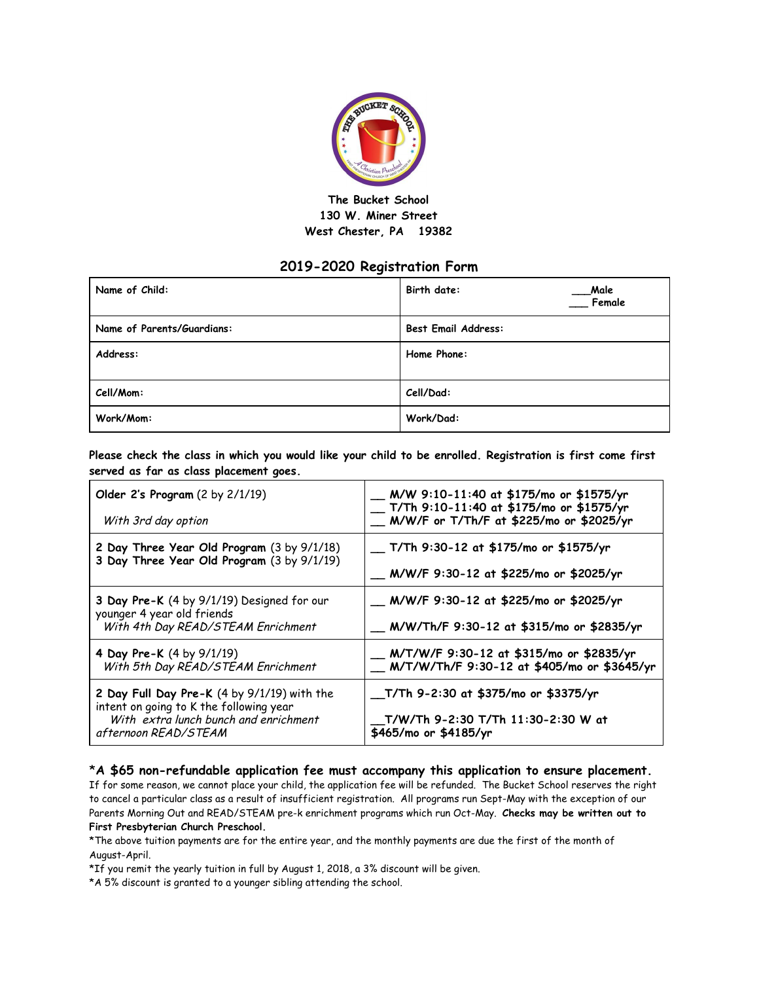

## **The Bucket School 130 W. Miner Street West Chester, PA 19382**

## **2019-2020 Registration Form**

| Name of Child:             | Birth date:<br>Male<br>Female |  |
|----------------------------|-------------------------------|--|
| Name of Parents/Guardians: | <b>Best Email Address:</b>    |  |
| Address:                   | Home Phone:                   |  |
|                            |                               |  |
| Cell/Mom:                  | Cell/Dad:                     |  |
| Work/Mom:                  | Work/Dad:                     |  |

**Please check the class in which you would like your child to be enrolled. Registration is first come first served as far as class placement goes.**

| Older 2's Program (2 by 2/1/19)<br>With 3rd day option                                                                                                  | _ M/W 9:10-11:40 at \$175/mo or \$1575/yr<br>__ T/Th 9:10-11:40 at \$175/mo or \$1575/yr<br>__ M/W/F or T/Th/F at \$225/mo or \$2025/yr |
|---------------------------------------------------------------------------------------------------------------------------------------------------------|-----------------------------------------------------------------------------------------------------------------------------------------|
| 2 Day Three Year Old Program (3 by 9/1/18)<br>3 Day Three Year Old Program (3 by 9/1/19)                                                                | __ T/Th 9:30-12 at \$175/mo or \$1575/yr                                                                                                |
|                                                                                                                                                         | __ M/W/F 9:30-12 at \$225/mo or \$2025/yr                                                                                               |
| 3 Day Pre-K (4 by 9/1/19) Designed for our<br>younger 4 year old friends<br>With 4th Day READ/STEAM Enrichment                                          | __ M/W/F 9:30-12 at \$225/mo or \$2025/yr                                                                                               |
|                                                                                                                                                         | __ M/W/Th/F 9:30-12 at \$315/mo or \$2835/yr                                                                                            |
| 4 Day Pre-K (4 by 9/1/19)<br>With 5th Day READ/STEAM Enrichment                                                                                         | __ M/T/W/F 9:30-12 at \$315/mo or \$2835/yr<br>__ M/T/W/Th/F 9:30-12 at \$405/mo or \$3645/yr                                           |
| 2 Day Full Day Pre-K (4 by 9/1/19) with the<br>intent on going to K the following year<br>With extra lunch bunch and enrichment<br>afternoon READ/STEAM | __T/Th 9-2:30 at \$375/mo or \$3375/yr                                                                                                  |
|                                                                                                                                                         | T/W/Th 9-2:30 T/Th 11:30-2:30 W at<br>\$465/mo or \$4185/yr                                                                             |

## \***A \$65 non-refundable application fee must accompany this application to ensure placement.**

If for some reason, we cannot place your child, the application fee will be refunded. The Bucket School reserves the right to cancel a particular class as a result of insufficient registration. All programs run Sept-May with the exception of our Parents Morning Out and READ/STEAM pre-k enrichment programs which run Oct-May. **Checks may be written out to First Presbyterian Church Preschool.**

\*The above tuition payments are for the entire year, and the monthly payments are due the first of the month of August-April.

\*If you remit the yearly tuition in full by August 1, 2018, a 3% discount will be given.

\*A 5% discount is granted to a younger sibling attending the school.